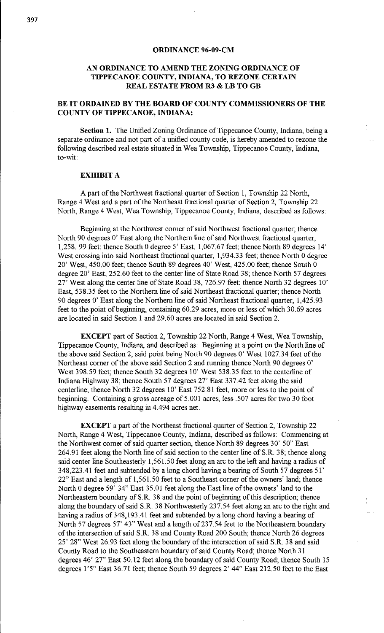## **ORDINANCE 96-09-CM**

## **AN ORDINANCE TO AMEND THE ZONING ORDINANCE OF TIPPECANOE COUNTY, INDIANA, TO REZONE CERTAIN REAL ESTATE FROM R3 & LB TO GB**

## **BE IT ORDAINED BY THE BOARD OF COUNTY COMMISSIONERS OF THE COUNTY OF TIPPECANOE, INDIANA:**

Section 1. The Unified Zoning Ordinance of Tippecanoe County, Indiana, being a separate ordinance and not part of a unified county code, is hereby amended to rezone the following described real estate situated in Wea Township, Tippecanoe County, Indiana, to-wit:

## **EXHIBIT A**

A part of the Northwest fractional quarter of Section 1, Township 22 North, Range 4 West and a part of the Northeast fractional quarter of Section 2, Township 22 North, Range 4 West, Wea Township, Tippecanoe County, Indiana, described as follows:

Beginning at the Northwest corner of said Northwest fractional quarter; thence North 90 degrees O' East along the Northern line of said Northwest fractional quarter, 1,258. 99 feet; thence South 0 degree 5' East, 1,067.67 feet; thence North 89 degrees 14' West crossing into said Northeast fractional quarter, 1,934.33 feet; thence North 0 degree 20' West, 450.00 feet; thence South 89 degrees 40' West, 425.00 feet; thence South 0 degree 20' East, 252.60 feet to the center line of State Road 38; thence North 57 degrees 27' West along the center line of State Road 38, 726.97 feet; thence North 32 degrees 10' East, 538.35 feet to the Northern line of said Northeast fractional quarter; thence North 90 degrees O' East along the Northern line of said Northeast fractional quarter, 1,425.93 feet to the point of beginning, containing 60.29 acres, more or less of which 30.69 acres are located in said Section 1 and 29.60 acres are located in said Section 2.

**EXCEPT** part of Section 2, Township 22 North, Range 4 West, Wea Township, Tippecanoe County, Indiana, and described as: Beginning at a point on the North line of the above said Section 2, said point being North 90 degrees O' West 1027.34 feet of the Northeast corner of the above said Section 2 and running thence North 90 degrees O' West 398.59 feet; thence South 32 degrees 10' West 538.35 feet to the centerline of Indiana Highway 38; thence South 57 degrees 27' East 337.42 feet along the said centerline; thence North 32 degrees 10' East 752.81 feet, more or less to the point of beginning. Containing a gross acreage of 5.001 acres, less .507 acres for two 30 foot highway easements resulting in 4.494 acres net.

**EXCEPT** a part of the Northeast fractional quarter of Section 2, Township 22 North, Range 4 West, Tippecanoe County, Indiana, described as follows: Commencing at the Northwest corner of said quarter section, thence North 89 degrees 30' 50" East 264.91 feet along the North line of said section to the center line of S.R. 38; thence along said center line Southeasterly 1,561.50 feet along an arc to the left and having a radius of 348,223 .41 feet and subtended by a long chord having a bearing of South 57 degrees 51' 22" East and a length of 1,561.50 feet to a Southeast corner of the owners' land; thence North 0 degree 59' 34" East 35.01 feet along the East line of the owners' land to the Northeastern boundary of S.R. 38 and the point of beginning of this description; thence along the boundary of said S.R. 38 Northwesterly 237.54 feet along an arc to the right and having a radius of 348, 193.41 feet and subtended by a long chord having a bearing of North 57 degrees 57' 43" West and a length of 237.54 feet to the Northeastern boundary of the intersection of said S.R. 38 and County Road 200 South; thence North 26 degrees 25' 28" West 26.93 feet along the boundary of the intersection of said S.R. 38 and said County Road to the Southeastern boundary of said County Road; thence North 31 degrees 46' 27" East 50.12 feet along the boundary of said County Road; thence South 15 degrees 1'5" East 36.71 feet; thence South 59 degrees 2' 44" East 212.50 feet to the East